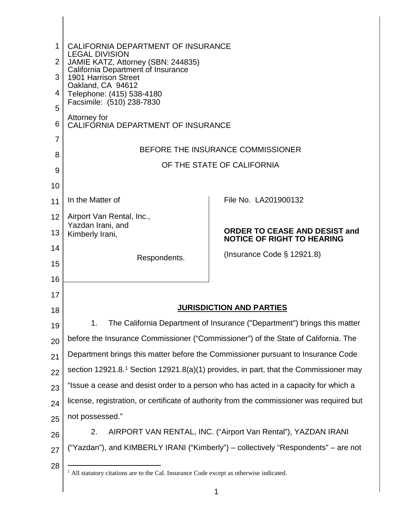<span id="page-0-0"></span>

| 1              | CALIFORNIA DEPARTMENT OF INSURANCE<br><b>LEGAL DIVISION</b><br>JAMIE KATZ, Attorney (SBN: 244835)  |                                                                          |  |  |  |
|----------------|----------------------------------------------------------------------------------------------------|--------------------------------------------------------------------------|--|--|--|
| $\overline{2}$ |                                                                                                    |                                                                          |  |  |  |
| 3              | California Department of Insurance<br>1901 Harrison Street                                         |                                                                          |  |  |  |
| 4              | Oakland, CA 94612<br>Telephone: (415) 538-4180                                                     |                                                                          |  |  |  |
| 5              | Facsimile: (510) 238-7830                                                                          |                                                                          |  |  |  |
| 6              | Attorney for<br>CALIFORNIA DEPARTMENT OF INSURANCE                                                 |                                                                          |  |  |  |
| 7              | BEFORE THE INSURANCE COMMISSIONER                                                                  |                                                                          |  |  |  |
| 8              | OF THE STATE OF CALIFORNIA                                                                         |                                                                          |  |  |  |
| 9              |                                                                                                    |                                                                          |  |  |  |
| 10<br>11       | In the Matter of                                                                                   | File No. LA201900132                                                     |  |  |  |
| 12             | Airport Van Rental, Inc.,                                                                          |                                                                          |  |  |  |
| 13             | Yazdan Irani, and<br>Kimberly Irani,                                                               | ORDER TO CEASE AND DESIST and                                            |  |  |  |
| 14             |                                                                                                    | <b>NOTICE OF RIGHT TO HEARING</b>                                        |  |  |  |
| 15             | Respondents.                                                                                       | (Insurance Code § 12921.8)                                               |  |  |  |
| 16             |                                                                                                    |                                                                          |  |  |  |
| 17             |                                                                                                    |                                                                          |  |  |  |
| 18             |                                                                                                    | <b>JURISDICTION AND PARTIES</b>                                          |  |  |  |
| 19             | 1.                                                                                                 | The California Department of Insurance ("Department") brings this matter |  |  |  |
| 20             | before the Insurance Commissioner ("Commissioner") of the State of California. The                 |                                                                          |  |  |  |
| 21             | Department brings this matter before the Commissioner pursuant to Insurance Code                   |                                                                          |  |  |  |
| 22             | section 12921.8. <sup>1</sup> Section 12921.8(a)(1) provides, in part, that the Commissioner may   |                                                                          |  |  |  |
| 23             | "Issue a cease and desist order to a person who has acted in a capacity for which a                |                                                                          |  |  |  |
| 24             | license, registration, or certificate of authority from the commissioner was required but          |                                                                          |  |  |  |
| 25             | not possessed."<br>AIRPORT VAN RENTAL, INC. ("Airport Van Rental"), YAZDAN IRANI<br>2.             |                                                                          |  |  |  |
| 26<br>27       | ("Yazdan"), and KIMBERLY IRANI ("Kimberly") – collectively "Respondents" – are not                 |                                                                          |  |  |  |
| 28             |                                                                                                    |                                                                          |  |  |  |
|                | <sup>1</sup> All statutory citations are to the Cal. Insurance Code except as otherwise indicated. |                                                                          |  |  |  |
|                |                                                                                                    |                                                                          |  |  |  |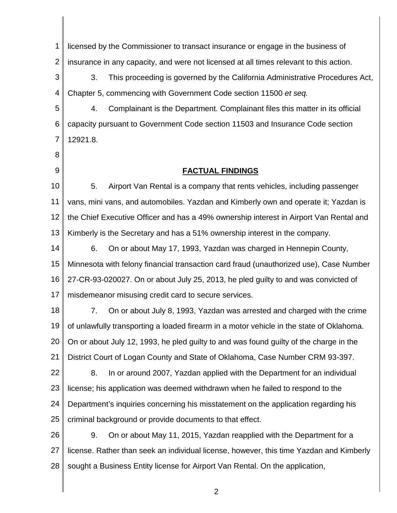5. Airport Van Rental is a company that rents vehicles, including passenger the Chief Executive Officer and has a 49% ownership interest in Airport Van Rental and Minnesota with felony financial transaction card fraud (unauthorized use), Case Number of unlawfully transporting a loaded firearm in a motor vehicle in the state of Oklahoma. criminal background or provide documents to that effect. 1 2 3 4 5 6 7 8 9 10 11 12 13 14 15 16 17 18 19 20 21 22 23 24 25 26 27 28 licensed by the Commissioner to transact insurance or engage in the business of insurance in any capacity, and were not licensed at all times relevant to this action. 3. This proceeding is governed by the California Administrative Procedures Act, Chapter 5, commencing with Government Code section 11500 *et seq.*  4. Complainant is the Department. Complainant files this matter in its official capacity pursuant to Government Code section 11503 and Insurance Code section 12921.8. **FACTUAL FINDINGS**  vans, mini vans, and automobiles. Yazdan and Kimberly own and operate it; Yazdan is Kimberly is the Secretary and has a 51% ownership interest in the company. 6. On or about May 17, 1993, Yazdan was charged in Hennepin County, 27-CR-93-020027. On or about July 25, 2013, he pled guilty to and was convicted of misdemeanor misusing credit card to secure services. 7. On or about July 8, 1993, Yazdan was arrested and charged with the crime On or about July 12, 1993, he pled guilty to and was found guilty of the charge in the District Court of Logan County and State of Oklahoma, Case Number CRM 93-397. 8. In or around 2007, Yazdan applied with the Department for an individual license; his application was deemed withdrawn when he failed to respond to the Department's inquiries concerning his misstatement on the application regarding his 9. On or about May 11, 2015, Yazdan reapplied with the Department for a license. Rather than seek an individual license, however, this time Yazdan and Kimberly sought a Business Entity license for Airport Van Rental. On the application,

2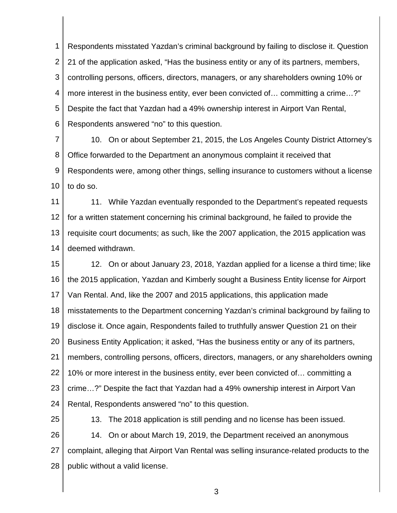controlling persons, officers, directors, managers, or any shareholders owning 10% or 1 2 3 4 5 6 Respondents misstated Yazdan's criminal background by failing to disclose it. Question 21 of the application asked, "Has the business entity or any of its partners, members, more interest in the business entity, ever been convicted of… committing a crime…?" Despite the fact that Yazdan had a 49% ownership interest in Airport Van Rental, Respondents answered "no" to this question.

 10. On or about September 21, 2015, the Los Angeles County District Attorney's 7 8 9 10 Office forwarded to the Department an anonymous complaint it received that Respondents were, among other things, selling insurance to customers without a license to do so.

11 12 13 14 11. While Yazdan eventually responded to the Department's repeated requests for a written statement concerning his criminal background, he failed to provide the requisite court documents; as such, like the 2007 application, the 2015 application was deemed withdrawn.

 Business Entity Application; it asked, "Has the business entity or any of its partners, members, controlling persons, officers, directors, managers, or any shareholders owning 15 16 17 18 19 20 21 22 23 24 12. On or about January 23, 2018, Yazdan applied for a license a third time; like the 2015 application, Yazdan and Kimberly sought a Business Entity license for Airport Van Rental. And, like the 2007 and 2015 applications, this application made misstatements to the Department concerning Yazdan's criminal background by failing to disclose it. Once again, Respondents failed to truthfully answer Question 21 on their 10% or more interest in the business entity, ever been convicted of… committing a crime…?" Despite the fact that Yazdan had a 49% ownership interest in Airport Van Rental, Respondents answered "no" to this question.

25

26 27 28 13. The 2018 application is still pending and no license has been issued. 14. On or about March 19, 2019, the Department received an anonymous complaint, alleging that Airport Van Rental was selling insurance-related products to the public without a valid license.

3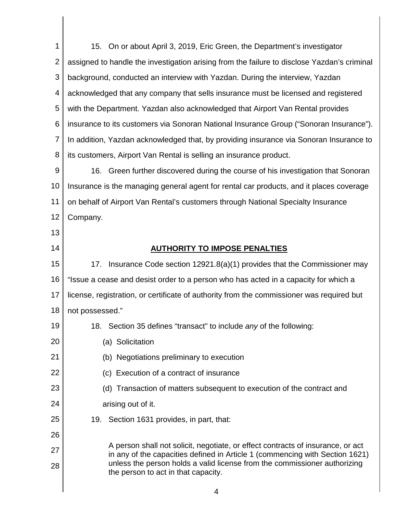with the Department. Yazdan also acknowledged that Airport Van Rental provides its customers, Airport Van Rental is selling an insurance product. Insurance is the managing general agent for rental car products, and it places coverage not possessed." A person shall not solicit, negotiate, or effect contracts of insurance, or act unless the person holds a valid license from the commissioner authorizing the person to act in that capacity. 1 2 3 4 5 6 7 8 9 10 11 12 13 14 15 16 17 18 19 20 21 22 23 24 25 26 27 28 15. On or about April 3, 2019, Eric Green, the Department's investigator assigned to handle the investigation arising from the failure to disclose Yazdan's criminal background, conducted an interview with Yazdan. During the interview, Yazdan acknowledged that any company that sells insurance must be licensed and registered insurance to its customers via Sonoran National Insurance Group ("Sonoran Insurance"). In addition, Yazdan acknowledged that, by providing insurance via Sonoran Insurance to 16. Green further discovered during the course of his investigation that Sonoran on behalf of Airport Van Rental's customers through National Specialty Insurance Company. **AUTHORITY TO IMPOSE PENALTIES**  17. Insurance Code section 12921.8(a)(1) provides that the Commissioner may "Issue a cease and desist order to a person who has acted in a capacity for which a license, registration, or certificate of authority from the commissioner was required but 18. Section 35 defines "transact" to include *any* of the following: (a) Solicitation (b) Negotiations preliminary to execution (c) Execution of a contract of insurance (d) Transaction of matters subsequent to execution of the contract and arising out of it. 19. Section 1631 provides, in part, that: in any of the capacities defined in Article 1 (commencing with Section 1621)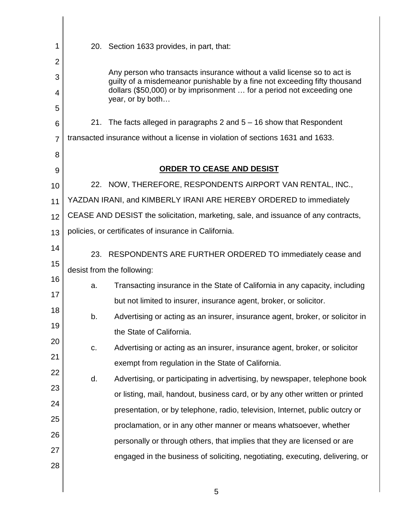| 1              |                                                                                    | 20. Section 1633 provides, in part, that:                                                                                                            |  |  |
|----------------|------------------------------------------------------------------------------------|------------------------------------------------------------------------------------------------------------------------------------------------------|--|--|
| $\overline{2}$ |                                                                                    |                                                                                                                                                      |  |  |
| 3              |                                                                                    | Any person who transacts insurance without a valid license so to act is<br>guilty of a misdemeanor punishable by a fine not exceeding fifty thousand |  |  |
| 4              |                                                                                    | dollars (\$50,000) or by imprisonment  for a period not exceeding one<br>year, or by both                                                            |  |  |
| 5              |                                                                                    |                                                                                                                                                      |  |  |
| 6              |                                                                                    | 21. The facts alleged in paragraphs 2 and $5 - 16$ show that Respondent                                                                              |  |  |
| $\overline{7}$ | transacted insurance without a license in violation of sections 1631 and 1633.     |                                                                                                                                                      |  |  |
| 8              |                                                                                    |                                                                                                                                                      |  |  |
| 9              | <b>ORDER TO CEASE AND DESIST</b>                                                   |                                                                                                                                                      |  |  |
| 10             |                                                                                    | 22. NOW, THEREFORE, RESPONDENTS AIRPORT VAN RENTAL, INC.,                                                                                            |  |  |
| 11             | YAZDAN IRANI, and KIMBERLY IRANI ARE HEREBY ORDERED to immediately                 |                                                                                                                                                      |  |  |
| 12             | CEASE AND DESIST the solicitation, marketing, sale, and issuance of any contracts, |                                                                                                                                                      |  |  |
| 13             | policies, or certificates of insurance in California.                              |                                                                                                                                                      |  |  |
| 14             |                                                                                    | 23. RESPONDENTS ARE FURTHER ORDERED TO immediately cease and                                                                                         |  |  |
| 15             | desist from the following:                                                         |                                                                                                                                                      |  |  |
| 16             | a.                                                                                 | Transacting insurance in the State of California in any capacity, including                                                                          |  |  |
| 17             |                                                                                    | but not limited to insurer, insurance agent, broker, or solicitor.                                                                                   |  |  |
| 18             | b.                                                                                 | Advertising or acting as an insurer, insurance agent, broker, or solicitor in                                                                        |  |  |
| 19             |                                                                                    | the State of California.                                                                                                                             |  |  |
| 20             | C.                                                                                 | Advertising or acting as an insurer, insurance agent, broker, or solicitor                                                                           |  |  |
| 21             |                                                                                    | exempt from regulation in the State of California.                                                                                                   |  |  |
| 22             | d.                                                                                 | Advertising, or participating in advertising, by newspaper, telephone book                                                                           |  |  |
| 23             |                                                                                    | or listing, mail, handout, business card, or by any other written or printed                                                                         |  |  |
| 24             |                                                                                    | presentation, or by telephone, radio, television, Internet, public outcry or                                                                         |  |  |
| 25             |                                                                                    | proclamation, or in any other manner or means whatsoever, whether                                                                                    |  |  |
| 26             |                                                                                    | personally or through others, that implies that they are licensed or are                                                                             |  |  |
| 27             |                                                                                    | engaged in the business of soliciting, negotiating, executing, delivering, or                                                                        |  |  |
| 28             |                                                                                    |                                                                                                                                                      |  |  |
|                |                                                                                    | ᄃ                                                                                                                                                    |  |  |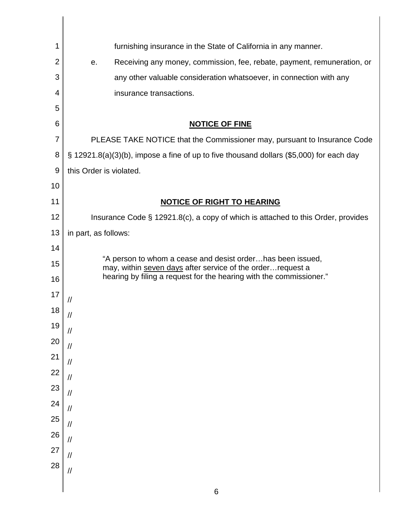|                               | furnishing insurance in the State of California in any manner.                                                                     |  |  |
|-------------------------------|------------------------------------------------------------------------------------------------------------------------------------|--|--|
| 2                             | Receiving any money, commission, fee, rebate, payment, remuneration, or<br>е.                                                      |  |  |
| 3                             | any other valuable consideration whatsoever, in connection with any                                                                |  |  |
| 4                             | insurance transactions.                                                                                                            |  |  |
| 5                             |                                                                                                                                    |  |  |
| 6                             | <b>NOTICE OF FINE</b>                                                                                                              |  |  |
| 7                             | PLEASE TAKE NOTICE that the Commissioner may, pursuant to Insurance Code                                                           |  |  |
| 8                             | § 12921.8(a)(3)(b), impose a fine of up to five thousand dollars (\$5,000) for each day                                            |  |  |
| 9                             | this Order is violated.                                                                                                            |  |  |
| 10                            |                                                                                                                                    |  |  |
| 11                            | <b>NOTICE OF RIGHT TO HEARING</b>                                                                                                  |  |  |
| 12                            | Insurance Code § 12921.8(c), a copy of which is attached to this Order, provides                                                   |  |  |
| 13                            | in part, as follows:                                                                                                               |  |  |
| 14                            | "A person to whom a cease and desist orderhas been issued,                                                                         |  |  |
| 15                            | may, within seven days after service of the order request a<br>hearing by filing a request for the hearing with the commissioner." |  |  |
| 16                            |                                                                                                                                    |  |  |
| 17                            |                                                                                                                                    |  |  |
|                               |                                                                                                                                    |  |  |
|                               |                                                                                                                                    |  |  |
|                               |                                                                                                                                    |  |  |
|                               | $\frac{1}{2}$                                                                                                                      |  |  |
|                               |                                                                                                                                    |  |  |
|                               | $\frac{1}{2}$                                                                                                                      |  |  |
|                               | $\frac{1}{2}$                                                                                                                      |  |  |
| 18 19 20 21 22 23 24 25 26 27 | $\frac{1}{2}$                                                                                                                      |  |  |
|                               | $\frac{1}{2}$                                                                                                                      |  |  |
| 28                            |                                                                                                                                    |  |  |
|                               | $\frac{1}{2}$                                                                                                                      |  |  |
|                               | 6                                                                                                                                  |  |  |